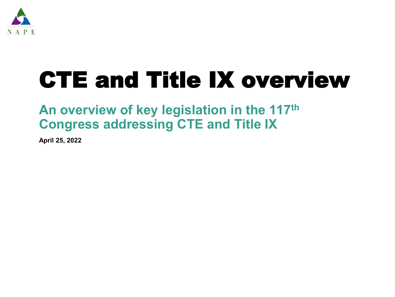

# CTE and Title IX overview

### **An overview of key legislation in the 117th Congress addressing CTE and Title IX**

**April 25, 2022**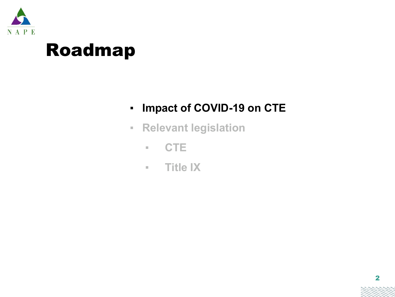

## Roadmap

- **Impact of COVID-19 on CTE**
- **Relevant legislation**
	- **CTE**
	- **Title IX**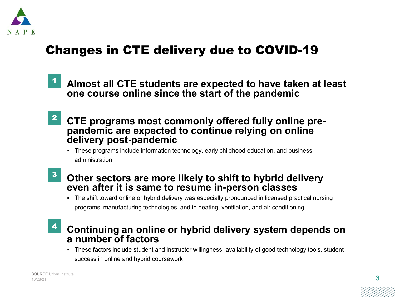

### Changes in CTE delivery due to COVID-19

- **Almost all CTE students are expected to have taken at least one course online since the start of the pandemic** 1
- **CTE programs most commonly offered fully online prepandemic are expected to continue relying on online delivery post-pandemic** 2
	- These programs include information technology, early childhood education, and business administration
- **Other sectors are more likely to shift to hybrid delivery even after it is same to resume in-person classes** 3
	- The shift toward online or hybrid delivery was especially pronounced in licensed practical nursing programs, manufacturing technologies, and in heating, ventilation, and air conditioning

### **Continuing an online or hybrid delivery system depends on a number of factors** 4

▪ These factors include student and instructor willingness, availability of good technology tools, student success in online and hybrid coursework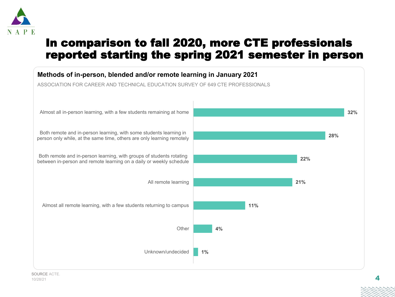

### In comparison to fall 2020, more CTE professionals reported starting the spring 2021 semester in person

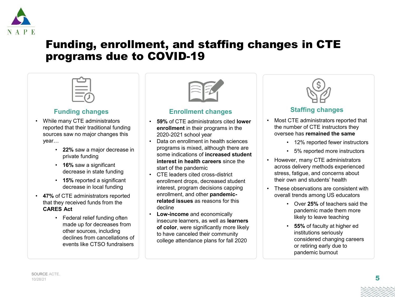

### Funding, enrollment, and staffing changes in CTE programs due to COVID-19

### **Funding changes**

- While many CTE administrators reported that their traditional funding sources saw no major changes this year…
	- **22%** saw a major decrease in private funding
	- **16%** saw a significant decrease in state funding
	- **15%** reported a significant decrease in local funding
- **47%** of CTE administrators reported that they received funds from the **CARES Act**
	- Federal relief funding often made up for decreases from other sources, including declines from cancellations of events like CTSO fundraisers



### **Enrollment changes**

- **59%** of CTE administrators cited **lower enrollment** in their programs in the 2020-2021 school year
- Data on enrollment in health sciences programs is mixed, although there are some indications of **increased student interest in health careers** since the start of the pandemic
- CTE leaders cited cross-district enrollment drops, decreased student interest, program decisions capping enrollment, and other **pandemicrelated issues** as reasons for this decline
- **Low-income** and economically insecure learners, as well as **learners of color**, were significantly more likely to have canceled their community college attendance plans for fall 2020



### **Staffing changes**

- Most CTE administrators reported that the number of CTE instructors they oversee has **remained the same**
	- 12% reported fewer instructors
	- 5% reported more instructors
- However, many CTE administrators across delivery methods experienced stress, fatigue, and concerns about their own and students' health
- These observations are consistent with overall trends among US educators
	- Over **25%** of teachers said the pandemic made them more likely to leave teaching
	- **55%** of faculty at higher ed institutions seriously considered changing careers or retiring early due to pandemic burnout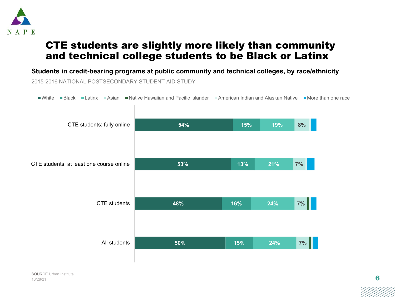

### CTE students are slightly more likely than community and technical college students to be Black or Latinx

2015-2016 NATIONAL POSTSECONDARY STUDENT AID STUDY **Students in credit-bearing programs at public community and technical colleges, by race/ethnicity**

**Number Black Latinx Asian Native Hawaiian and Pacific Islander American Indian and Alaskan Native More than one race** 

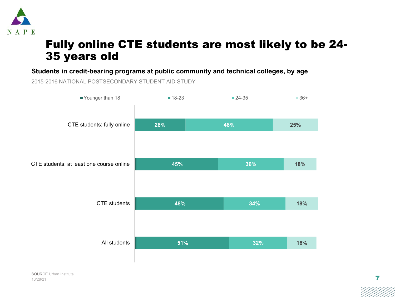

### Fully online CTE students are most likely to be 24- 35 years old

**Students in credit-bearing programs at public community and technical colleges, by age**

2015-2016 NATIONAL POSTSECONDARY STUDENT AID STUDY

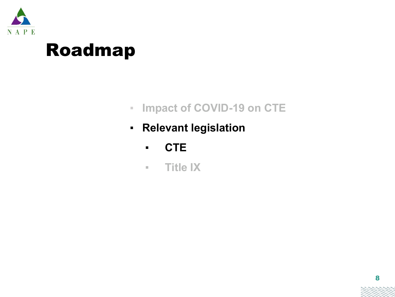

## Roadmap

- **Impact of COVID-19 on CTE**
- **Relevant legislation**
	- **CTE**
	- **Title IX**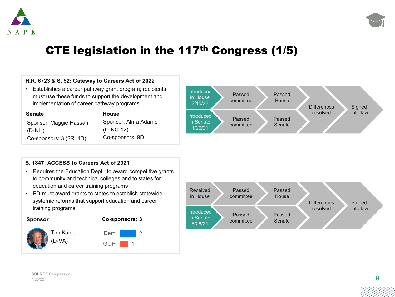



### CTE legislation in the 117th Congress (1/5)

#### **H.R. 6723 & S. 52: Gateway to Careers Act of 2022**

• Establishes a career pathway grant program; recipients must use these funds to support the development and implementation of career pathway programs

| <b>Senate</b>           | <b>House</b> |
|-------------------------|--------------|
| Sponsor: Maggie Hassan  | <b>Spons</b> |
| $(D-NH)$                | $(D-NC-$     |
| Co-sponsors: 3 (2R, 1D) | Co-spo       |

Sponsor: Alma Adams (D-NC-12) Co-sponsors: 9D



#### **S. 1847: ACCESS to Careers Act of 2021**

- Requires the Education Dept. to award competitive grants to community and technical colleges and to states for education and career training programs
- ED must award grants to states to establish statewide systemic reforms that support education and career training programs





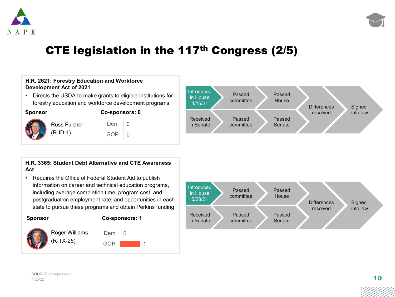



### CTE legislation in the 117th Congress (2/5)

#### **H.R. 2621: Forestry Education and Workforce Development Act of 2021**

• Directs the USDA to make grants to eligible institutions for forestry education and workforce development programs

**Co-sponsors: 0**

0 0



Russ Fulch (R-ID-1)

| her | Dem |
|-----|-----|
|     | GOP |

#### **H.R. 3365: Student Debt Alternative and CTE Awareness Act**

• Requires the Office of Federal Student Aid to publish information on career and technical education programs, including average completion time, program cost, and postgraduation employment rate; and opportunities in each state to pursue these programs and obtain Perkins funding



#### **Co-sponsors: 1**









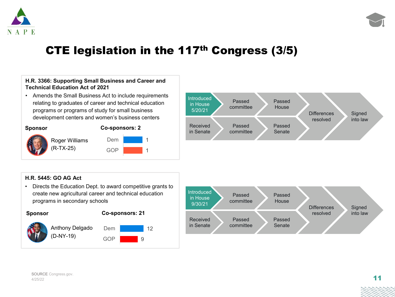



### CTE legislation in the 117th Congress (3/5)

### **H.R. 3366: Supporting Small Business and Career and Technical Education Act of 2021**

• Amends the Small Business Act to include requirements relating to graduates of career and technical education programs or programs of study for small business development centers and women's business centers



Roger Williams (R-TX-25)



1 1



### **H.R. 5445: GO AG Act**

• Directs the Education Dept. to award competitive grants to create new agricultural career and technical education programs in secondary schools



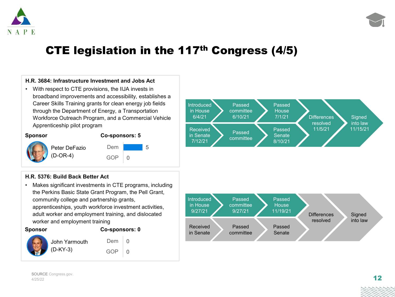



### CTE legislation in the 117th Congress (4/5)

#### **H.R. 3684: Infrastructure Investment and Jobs Act**

• With respect to CTE provisions, the IIJA invests in broadband improvements and accessibility, establishes a Career Skills Training grants for clean energy job fields through the Department of Energy, a Transportation Workforce Outreach Program, and a Commercial Vehicle Apprenticeship pilot program



#### **Sponsor Co-sponsors: 5**

5

0 GOP Dem Peter DeFazio (D-OR-4)

#### **H.R. 5376: Build Back Better Act**

• Makes significant investments in CTE programs, including the Perkins Basic State Grant Program, the Pell Grant, community college and partnership grants, apprenticeships, youth workforce investment activities, adult worker and employment training, and dislocated worker and employment training



#### **Sponsor Co-sponsors: 0**

0  $\Omega$ 



Dem John Yarmouth

GOP



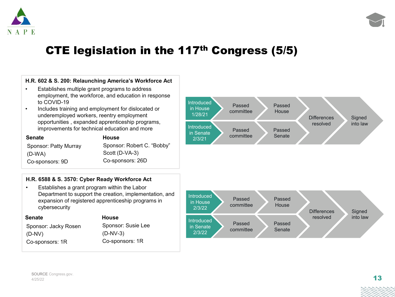



### CTE legislation in the 117th Congress (5/5)

#### **H.R. 602 & S. 200: Relaunching America's Workforce Act**

- Establishes multiple grant programs to address employment, the workforce, and education in response to COVID-19
- Includes training and employment for dislocated or underemployed workers, reentry employment opportunities , expanded apprenticeship programs, improvements for technical education and more

| <b>Senate</b>                | <b>House</b>               |
|------------------------------|----------------------------|
| <b>Sponsor: Patty Murray</b> | Sponsor: Robert C. "Bobby" |
| $(D-WA)$                     | Scott (D-VA-3)             |
| Co-sponsors: 9D              | Co-sponsors: 26D           |

### **H.R. 6588 & S. 3570: Cyber Ready Workforce Act**

• Establishes a grant program within the Labor Department to support the creation, implementation, and expansion of registered apprenticeship programs in cybersecurity

| <b>House</b>       |
|--------------------|
| Sponsor: Susie Lee |
| $(D-NV-3)$         |
| Co-sponsors: 1R    |
|                    |



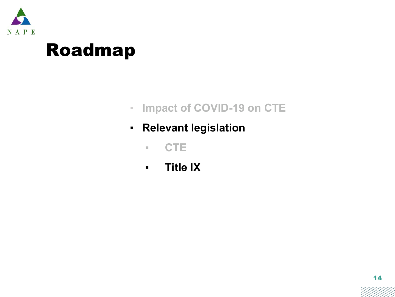

## Roadmap

- **Impact of COVID-19 on CTE**
- **Relevant legislation**
	- **CTE**
	- **Title IX**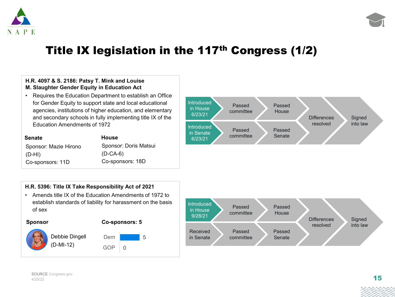



### Title IX legislation in the 117<sup>th</sup> Congress (1/2)

### **H.R. 4097 & S. 2186: Patsy T. Mink and Louise M. Slaughter Gender Equity in Education Act**

• Requires the Education Department to establish an Office for Gender Equity to support state and local educational agencies, institutions of higher education, and elementary and secondary schools in fully implementing title IX of the Education Amendments of 1972

| <b>Senate</b>         | <b>House</b>          |
|-----------------------|-----------------------|
| Sponsor: Mazie Hirono | Sponsor: Doris Matsui |
| $(D-HI)$              | $(D-CA-6)$            |
| Co-sponsors: 11D      | Co-sponsors: 18D      |





• Amends title IX of the Education Amendments of 1972 to establish standards of liability for harassment on the basis of sex







5